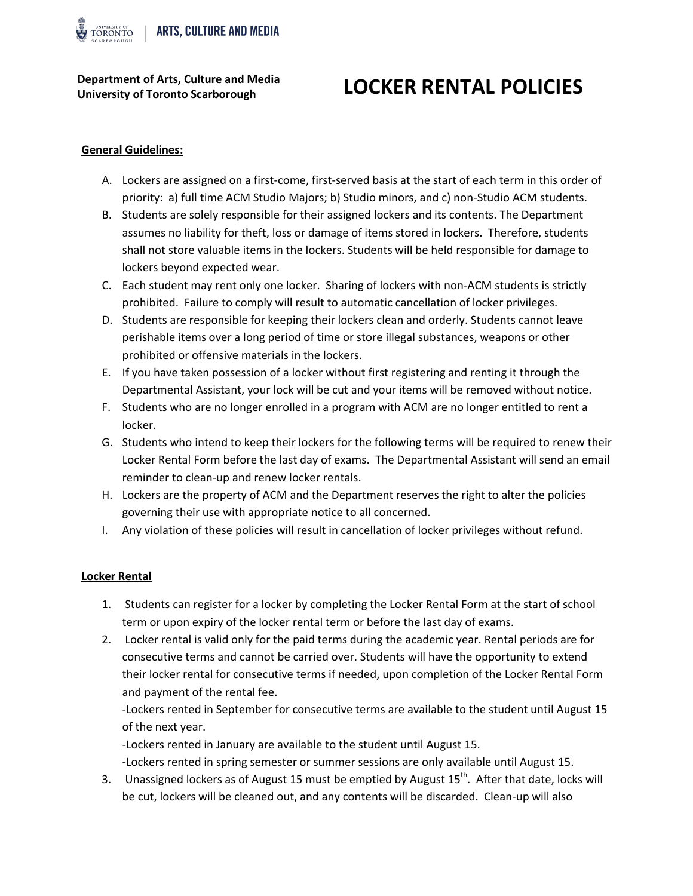

**Department of Arts, Culture and Media**

# **University of Toronto Scarborough LOCKER RENTAL POLICIES**

## **General Guidelines:**

- A. Lockers are assigned on a first-come, first-served basis at the start of each term in this order of priority: a) full time ACM Studio Majors; b) Studio minors, and c) non-Studio ACM students.
- B. Students are solely responsible for their assigned lockers and its contents. The Department assumes no liability for theft, loss or damage of items stored in lockers. Therefore, students shall not store valuable items in the lockers. Students will be held responsible for damage to lockers beyond expected wear.
- C. Each student may rent only one locker. Sharing of lockers with non-ACM students is strictly prohibited. Failure to comply will result to automatic cancellation of locker privileges.
- D. Students are responsible for keeping their lockers clean and orderly. Students cannot leave perishable items over a long period of time or store illegal substances, weapons or other prohibited or offensive materials in the lockers.
- E. If you have taken possession of a locker without first registering and renting it through the Departmental Assistant, your lock will be cut and your items will be removed without notice.
- F. Students who are no longer enrolled in a program with ACM are no longer entitled to rent a locker.
- G. Students who intend to keep their lockers for the following terms will be required to renew their Locker Rental Form before the last day of exams. The Departmental Assistant will send an email reminder to clean-up and renew locker rentals.
- H. Lockers are the property of ACM and the Department reserves the right to alter the policies governing their use with appropriate notice to all concerned.
- I. Any violation of these policies will result in cancellation of locker privileges without refund.

### **Locker Rental**

- 1. Students can register for a locker by completing the Locker Rental Form at the start of school term or upon expiry of the locker rental term or before the last day of exams.
- 2. Locker rental is valid only for the paid terms during the academic year. Rental periods are for consecutive terms and cannot be carried over. Students will have the opportunity to extend their locker rental for consecutive terms if needed, upon completion of the Locker Rental Form and payment of the rental fee.

-Lockers rented in September for consecutive terms are available to the student until August 15 of the next year.

-Lockers rented in January are available to the student until August 15.

-Lockers rented in spring semester or summer sessions are only available until August 15.

3. Unassigned lockers as of August 15 must be emptied by August  $15^{th}$ . After that date, locks will be cut, lockers will be cleaned out, and any contents will be discarded. Clean-up will also